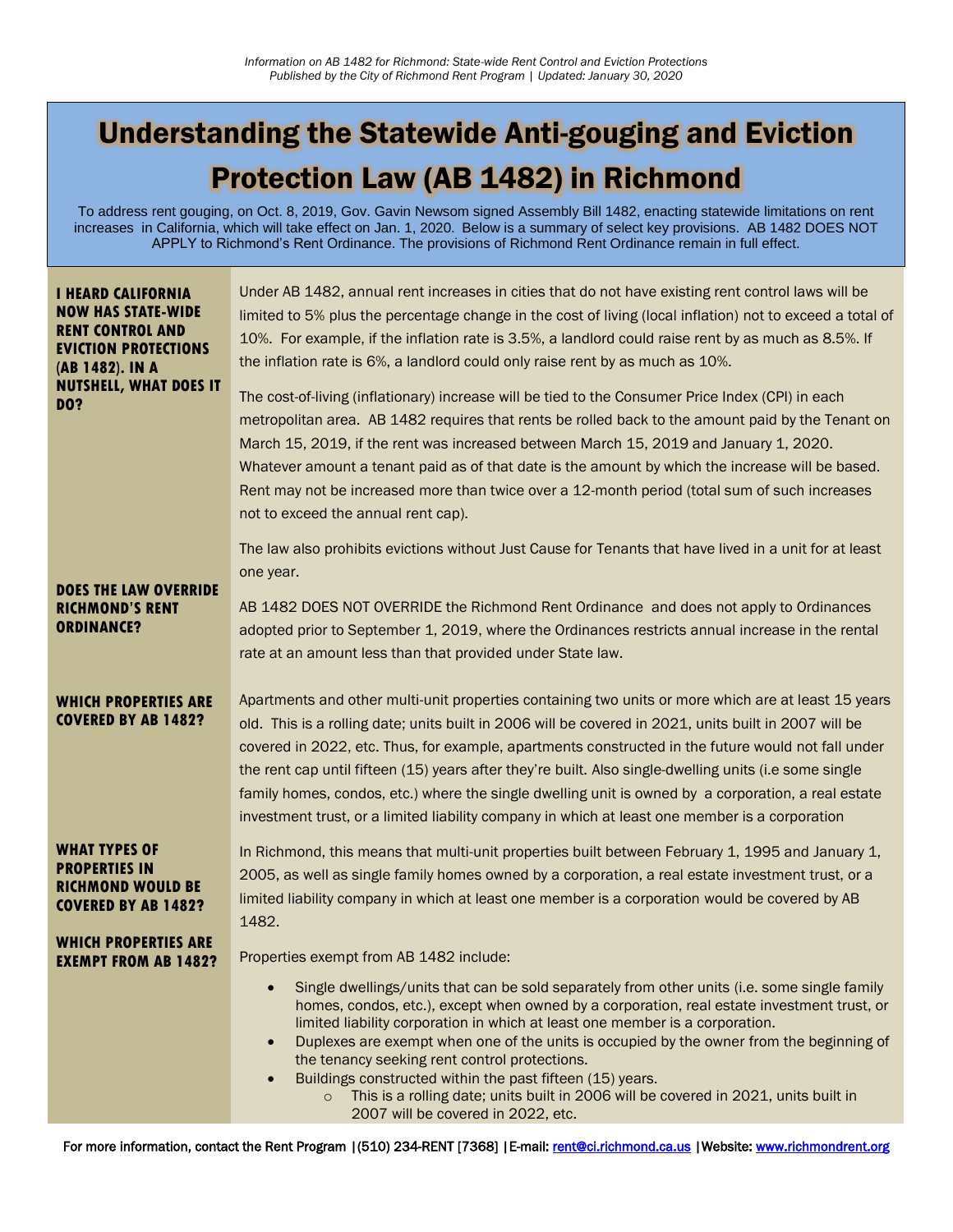# Understanding the Statewide Anti-gouging and Eviction Protection Law (AB 1482) in Richmond

To address rent gouging, on Oct. 8, 2019, Gov. Gavin Newsom signed Assembly Bill 1482, enacting statewide limitations on rent increases in California, which will take effect on Jan. 1, 2020. Below is a summary of select key provisions. AB 1482 DOES NOT APPLY to Richmond's Rent Ordinance. The provisions of Richmond Rent Ordinance remain in full effect.

| Under AB 1482, annual rent increases in cities that do not have existing rent control laws will be<br>limited to 5% plus the percentage change in the cost of living (local inflation) not to exceed a total of<br>10%. For example, if the inflation rate is 3.5%, a landlord could raise rent by as much as 8.5%. If<br>the inflation rate is 6%, a landlord could only raise rent by as much as 10%.<br>The cost-of-living (inflationary) increase will be tied to the Consumer Price Index (CPI) in each<br>metropolitan area. AB 1482 requires that rents be rolled back to the amount paid by the Tenant on<br>March 15, 2019, if the rent was increased between March 15, 2019 and January 1, 2020.<br>Whatever amount a tenant paid as of that date is the amount by which the increase will be based.<br>Rent may not be increased more than twice over a 12-month period (total sum of such increases<br>not to exceed the annual rent cap). |
|--------------------------------------------------------------------------------------------------------------------------------------------------------------------------------------------------------------------------------------------------------------------------------------------------------------------------------------------------------------------------------------------------------------------------------------------------------------------------------------------------------------------------------------------------------------------------------------------------------------------------------------------------------------------------------------------------------------------------------------------------------------------------------------------------------------------------------------------------------------------------------------------------------------------------------------------------------|
| The law also prohibits evictions without Just Cause for Tenants that have lived in a unit for at least<br>one year.                                                                                                                                                                                                                                                                                                                                                                                                                                                                                                                                                                                                                                                                                                                                                                                                                                    |
| AB 1482 DOES NOT OVERRIDE the Richmond Rent Ordinance and does not apply to Ordinances<br>adopted prior to September 1, 2019, where the Ordinances restricts annual increase in the rental<br>rate at an amount less than that provided under State law.                                                                                                                                                                                                                                                                                                                                                                                                                                                                                                                                                                                                                                                                                               |
| Apartments and other multi-unit properties containing two units or more which are at least 15 years<br>old. This is a rolling date; units built in 2006 will be covered in 2021, units built in 2007 will be<br>covered in 2022, etc. Thus, for example, apartments constructed in the future would not fall under<br>the rent cap until fifteen (15) years after they're built. Also single-dwelling units (i.e some single<br>family homes, condos, etc.) where the single dwelling unit is owned by a corporation, a real estate<br>investment trust, or a limited liability company in which at least one member is a corporation                                                                                                                                                                                                                                                                                                                  |
| In Richmond, this means that multi-unit properties built between February 1, 1995 and January 1,<br>2005, as well as single family homes owned by a corporation, a real estate investment trust, or a<br>limited liability company in which at least one member is a corporation would be covered by AB<br>1482.                                                                                                                                                                                                                                                                                                                                                                                                                                                                                                                                                                                                                                       |
| Properties exempt from AB 1482 include:<br>Single dwellings/units that can be sold separately from other units (i.e. some single family<br>$\bullet$<br>homes, condos, etc.), except when owned by a corporation, real estate investment trust, or<br>limited liability corporation in which at least one member is a corporation.<br>Duplexes are exempt when one of the units is occupied by the owner from the beginning of<br>$\bullet$<br>the tenancy seeking rent control protections.<br>Buildings constructed within the past fifteen (15) years.<br>$\bullet$<br>This is a rolling date; units built in 2006 will be covered in 2021, units built in<br>$\circ$<br>2007 will be covered in 2022, etc.                                                                                                                                                                                                                                         |
|                                                                                                                                                                                                                                                                                                                                                                                                                                                                                                                                                                                                                                                                                                                                                                                                                                                                                                                                                        |

For more information, contact the Rent Program |(510) 234-RENT [7368] |E-mail: [rent@ci.richmond.ca.us](mailto:rent@ci.richmond.ca.us) |Website: www.richmondrent.org